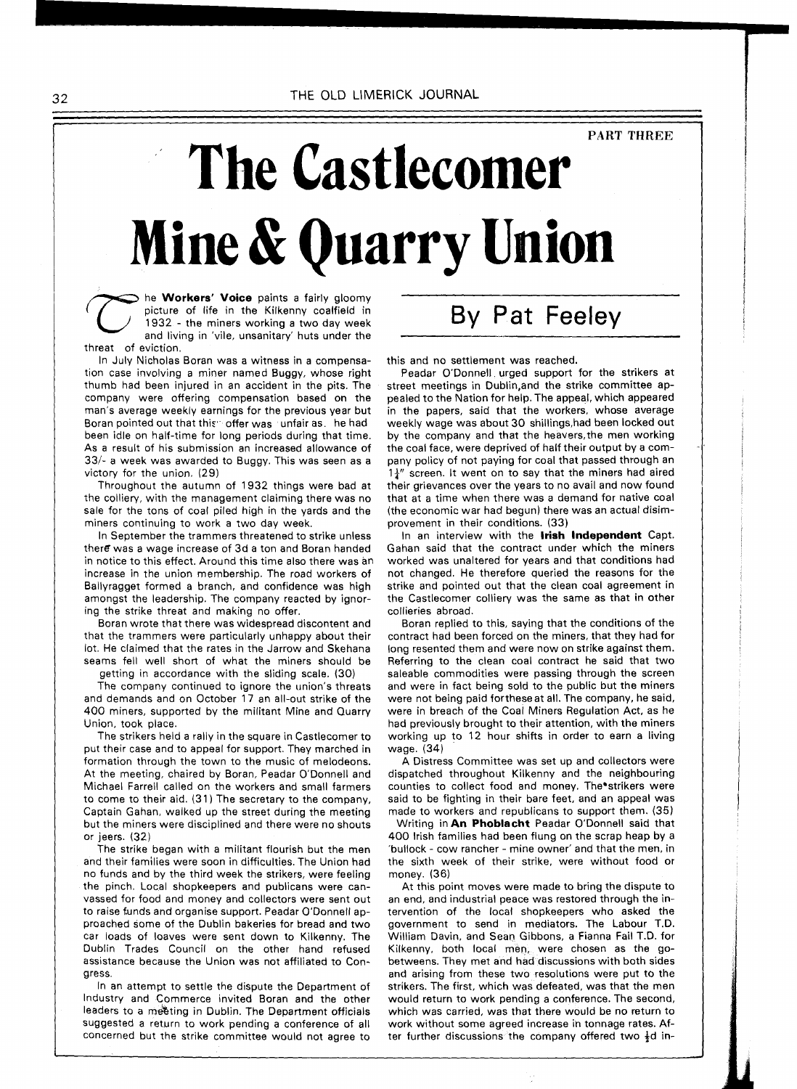## **PART THREE**

## **The Castlecomer Mine** & **Quarrv Union**

he **Workers' Voice** paints a fairly gloomy picture of life in the Kilkenny coalfield in 1932 - the miners working a two day week and living in 'vile, unsanitary' huts under the threat of eviction.

In July Nicholas Boran was a witness in a compensation case involving a miner named Buggy, whose right thumb had been injured in an accident in the pits. The company were offering compensation based on the man's average weekly earnings for the previous year but Boran pointed out that this offer was junfair as the had been idle on half-time for long periods during that time. As a result of his submission an increased allowance of  $33/4$  a week was awarded to Buggy. This was seen as a victory for the union. (29)

Throughout the autumn of 1932 things were bad at the colliery, with the management claiming there was no sale for the tons of coal piled high in the yards and the miners continuing to work a two day week.

In September the trammers threatened to strike unless there was a wage increase of 3d a ton and Boran handed in notice to this effect. Around this time also there was an increase in the union membership. The road workers of Ballyragget formed a branch, and confidence was high amongst the leadership. The company reacted by ignoring the strike threat and making no offer.

Boran wrote that there was widespread discontent and that the trammers were particularly unhappy about their lot. He claimed that the rates in the Jarrow and Skehana seams fell well short of what the miners should be getting in accordance with the sliding scale. (30)

The company continued to ignore the union's threats

and demands and on October 17 an all-out strike of the 400 miners, supported by the militant Mine and Quarry Union, took place.

The strikers held a rally in the square in Castlecomer to put their case and to appeal for support. They marched in formation through the town to the music of melodeons. At the meeting, chaired by Boran, Peadar O'Donnell and Michael Farrell called on the workers and small farmers to come to their aid. (31) The secretary to the company, Captain Gahan, walked up the street during the meeting but the miners were disciplined and there were no shouts or jeers. (32)

The strike began with a militant flourish but the men and their families were soon in difficulties. The Union had no funds and by the third week the strikers, were feeling the pinch. Local shopkeepers and publicans were canvassed for food and money and collectors were sent out to raise funds and organise support. Peadar O'Donnell approached some of the Dublin bakeries for bread and two car loads of loaves were sent down to Kilkenny. The Dublin Trades Council on the other hand refused assistance because the Union was not affiliated to Congress.

In an attempt to settle the dispute the Department of Industry and Commerce invited Boran and the other leaders to a meeting in Dublin. The Department officials suggested a return to work pending a conference of all concerned but the strike committee would not agree to By Pat Feeley

this and no settlement was reached.

Peadar O'Donnell urged support for the strikers at street meetings in Dublin,and the strike committee appealed to the Nation for help. The appear, which appeared in the papers, said that the workers, whose average weekly wage was about 30 shillings,had been locked out by the company and that the heavers,the men working the coal face, were deprived of half their output by a company policy of not paying for coal that passed through an  $1\frac{1}{4}$ " screen. It went on to say that the miners had aired their grievances over the years to no avail and now found that at a time when there was a demand for native coal (the economic war had begun) there was an actual disirnprovement in their conditions. (33)

In an interview with the **lrish Independent** Capt. Gahan said that the contract under which the miners worked was unaltered for years and that conditions had not changed. He therefore queried the reasons for the strike and pointed out that the clean coal agreement in the Castlecomer colliery was the same as that in other collieries abroad.

Boran replied to this, saying that the conditions of the contract had been forced on the miners, that they had for long resented them and were now on strike against them. Referring to the clean coal contract he said that two saleable commodities were passing through the screen and were in fact being sold to the public but the miners were not being paid fortheseat all. The company, he said, were in breach of the Coal Miners Regulation Act, as he had previously brought to their attention, with the miners working up to 12 hour shifts in order to earn a living wage. (34)

A Distress Committee was set up and collectors were dispatched throughout Kilkenny and the neighbouring counties to collect food and money. The strikers were said to be fighting in their bare feet, and an appeal was made to workers and republicans to support them. (35)

Writing in **An Phoblacht** Peadar O'Donnell said that 400 lrish families had been flung on the scrap heap by a 'bullock - cow rancher - mine owner' and that the men, in the sixth week of their strike, were without food or money. (36)

At this point moves were made to bring the dispute to an end, and industrial peace was restored through the intervention of the local shopkeepers who asked the government to send in mediators. The Labour T.D. William Davin, and Sean Gibbons, a Fianna Fail T.D. for Kilkenny, both local men, were chosen as the gobetweens. They met and had discussions with both sides and arising from these two resolutions were put to the strikers. The first, which was defeated, was that the men would return to work pending a conference. The second, which was carried, was that there would be no return to work without some agreed increase ih tonnage rates. After further discussions the company offered two  $\frac{1}{2}d$  in-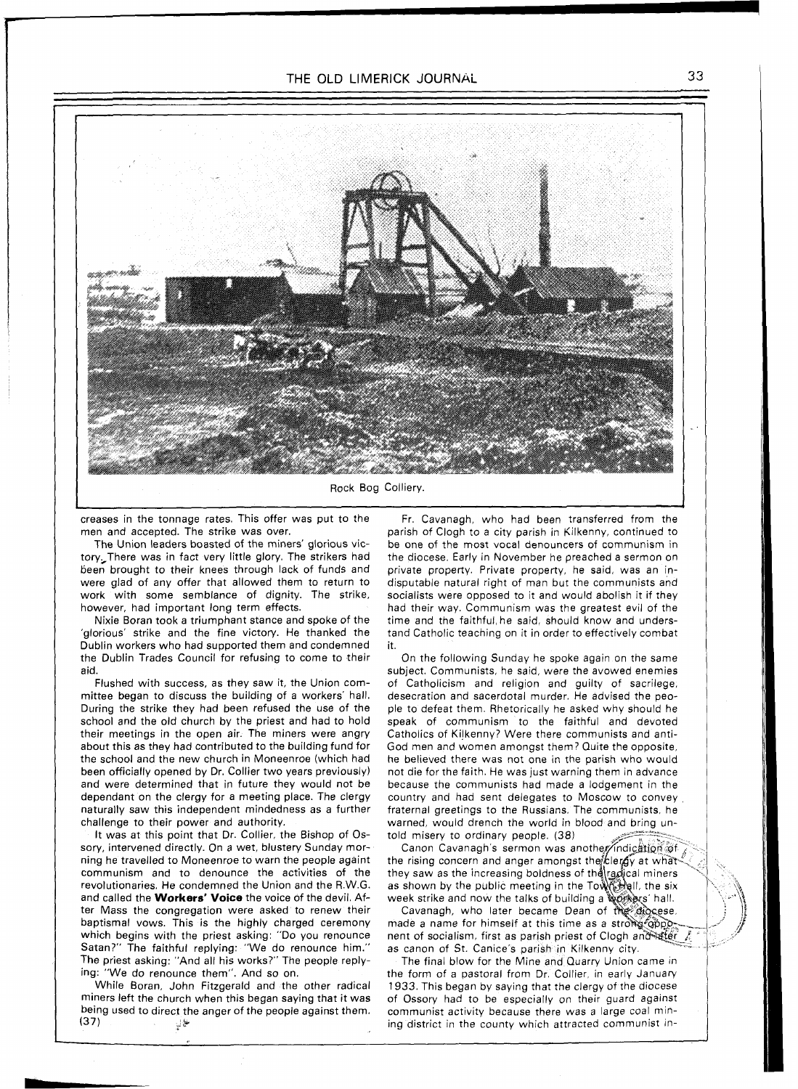

Rock Bog Colliery.

creases in the tonnage rates. This offer was put to the men and accepted. The strike was over.

The Union leaders boasted of the miners' glorious victory,There was in fact very little glory. The strikers had been brought to their knees through lack of funds and were glad of any offer that allowed them to return to work with some semblance of dignity. The strike, however, had important long term effects.

Nixie Boran took a triumphant stance and spoke of the 'glorious' strike and the fine victory. He thanked the Dublin workers who had supported them and condemned the Dublin Trades Council for refusing to come to their aid.

Flushed with success, as they saw it, the Union committee began to discuss the building of a workers' hall. During the strike they had been refused the use of the school and the old church by the priest and had to hold their meetings in the open air. The miners were angry about this as they had contributed to the building fund for the school and the new church in Moneenroe (which had been officially opened by Dr. Collier two years previously) and were determined that in future they would not be dependant on the clergy for a meeting place. The clergy naturally saw this independent mindedness as a further challenge to their power and authority.

It was at this point that Dr. Collier, the Bishop of Ossory, intervened directly. On a wet, blustery Sunday morning he travelled to Moneenroe to warn the people againt communism and to denounce the activities of the revolutionaries. He condemned the Union and the R.W.G. and called the **Workers' Voice** the voice of the devil. After Mass the congregation were asked to renew their baptismal vows. This is the highly charged ceremony which begins with the priest asking: "Do you renounce Satan?" The faithful replying: "We do renounce him." The priest asking: "And all his works?" The people replying: "We do renounce them". And so on.

While Boran, John Fitzgerald and the other radical miners left the church when this began saying that it was being used to direct the anger of the people against them. ِ (37) في الأ

Fr. Cavanagh, who had been transferred from the parish of Clogh to a city parish in Kilkenny, continued to be one of the most vocal denouncers of communism in the diocese. Early in November he preached a sermon on private property. Private property, he said, was an indisputable natural right of man but the communists and socialists were opposed to it and would abolish it if they had their way. Communism was the greatest evil of the time and the faithful, he said, should know and understand Catholic teaching on it in order to effectively combat it.

On the following Sunday he spoke again on the same subject. Communists, he said, were the avowed enemies of Catholicism and religion and guilty of sacrilege, desecration and sacerdotal murder. He advised the people to defeat them. Rhetorically he asked why should he speak of communism to the faithful and devoted Catholics of Kilkenny? Were there communists and anti-God men and women amongst them? Quite the opposite, he believed there was not one in the parish who would not die for the faith. He was just warning them in advance because the communists had made a lodgement in the country and had sent delegates to Moscow to convey fraternal greetings to the Russians. The communists, he warned, would drench the world in blood and bring untold misery to ordinary people. (38)

Canon Cavanagh's sermon was another/indication of the rising concern and anger amongst the clergy at what they saw as the increasing boldness of the radical miners as shown by the public meeting in the Town that the six week strike and now the talks of building a workers' hall.

Cavanagh, who later became Dean of the diocese, made a name for himself at this time as a strong opp nent of socialism, first as parish priest of Clogh and ater as canon of St. Canice's parish in Kilkenny city.

The final blow for the Mine and Quarry Union came in the form of a pastoral from Dr. Collier, in early January 1933. This began by saying that the clergy of the diocese of Ossory had to be especially on their guard against communist activity because there was a large coal mining district in the county which attracted communist in-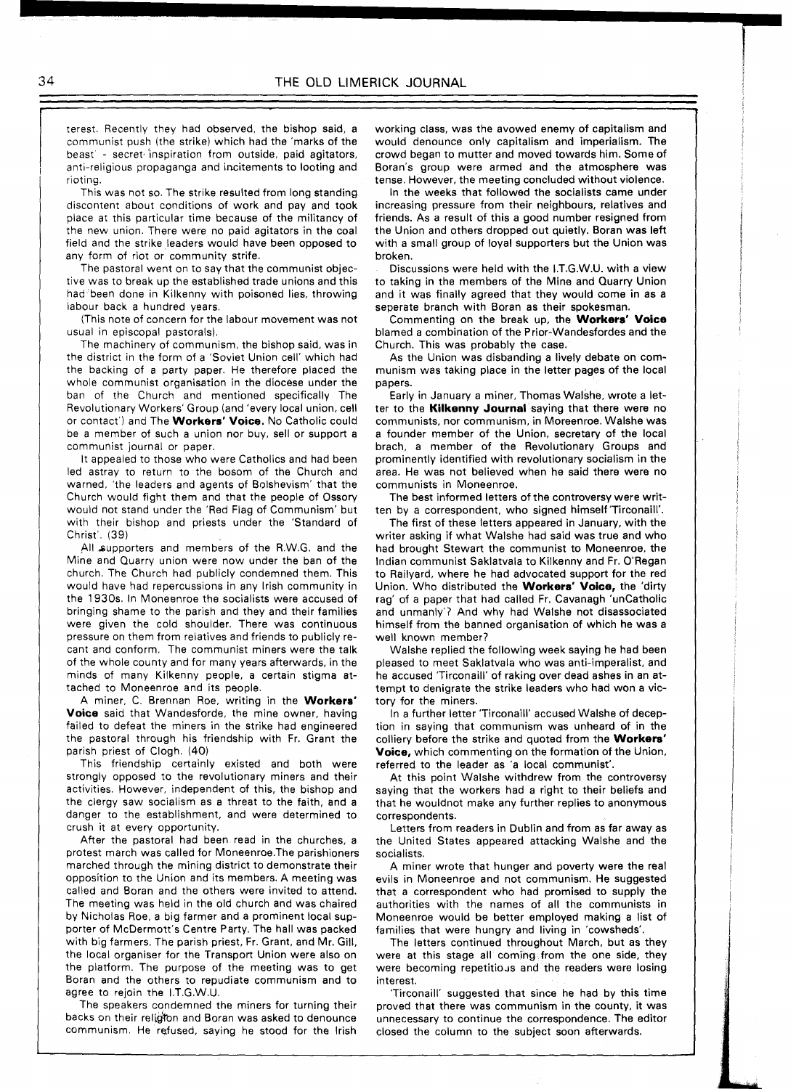terest. Recently they had observed, the bishop said, a communist push (the strike) which had the 'marks of the beast - secret inspiration from outside, paid agitators, anti-religious propaganga and incitements to looting and rioting.

This was not so. The strike resulted from long standing discontent about conditions of work and pay and took place at this particular time because of the militancy of the new union. There were no paid agitators in the coal field and the strike leaders would have been opposed to any form of riot or community strife.

The pastoral went on to say that the communist objective was to break up the established trade unions and this had been done in Kilkenny with poisoned lies, throwing labour back a hundred years.

(This note of concern for the labour movement was not usual in episcopal pastorals).

The machinery of communism, the bishop said, was in the district in the form of a 'Soviet Union cell' which had the backing of a party paper. He therefore placed the whole communist organisation in the diocese under the ban of the Church and mentioned specifically The Revolutionary Workers' Group (and 'every local union, cell or contact') and The **Workers' Voice.** No Catholic could be a member of such a union nor buy, sell or support a communist journal or paper.

It appealed to those who were Catholics and had been led astray to return to the bosom of the Church and warned, 'the leaders and agents of Bolshevism' that the Church would fight them and that the people of Ossory would not stand under the 'Red Flag of Communism' but with their bishop and priests under the 'Standard of Christ'. (39)

All supporters and members of the R.W.G. and the Mine and Quarry union were now under the ban of the church. The Church had publicly condemned them. This would have had repercussions in any lrish community in the 1930s. In Moneenroe the socialists were accused of bringing shame to the parish and they and their families were given the cold shoulder. There was continuous pressure on them from relatives and friends to publicly recant and conform. The communist miners were the talk of the whole county and for many years afterwards, in the minds of many Kilkenny people, a certain stigma attached to Moneenroe and its people.

A miner, C. Brennan Roe, writing in the **Workers' Voice** said that Wandesforde, the mine owner, having failed to defeat the miners in the strike had engineered the pastoral through his friendship with Fr. Grant the parish priest of Clogh. (40)

This friendship certainly existed and both were strongly opposed to the revolutionary miners and their activities. However, independent of this, the bishop and the clergy saw socialism as a threat to the faith, and a danger to the establishment, and were determined to crush it at every opportunity.

After the pastoral had been read in the churches, a protest march was called for Moneenroe.The parishioners marched through the mining district to demonstrate their opposition to the Union and its members. A meeting was called and Boran and the others were invited to attend. The meeting was held in the old church and was chaired by Nicholas Roe, a big farmer and a prominent local supporter of McDermott's Centre Party. The hall was packed with big farmers. The parish priest, Fr. Grant, and Mr. Gill, the local organiser for the Transport Union were also on the platform. The purpose of the meeting was to get Boran and the others to repudiate communism and to agree to rejoin the I.T.G.W.U.

The speakers condemned the miners for turning their backs on their religion and Boran was asked to denounce communism He refused, saying he stood for the lrish

working class, was the avowed enemy of capitalism and would denounce only capitalism and imperialism. The crowd began to mutter and moved towards him. Some of Boran's group were armed and the atmosphere was tense. However, the meeting concluded without violence.

In the weeks that followed the socialists came under increasing pressure from their neighbours, relatives and friends. As a result of this a good number resigned from the Union and others dropped out quietly. Boran was left with a small group of loyal supporters but the Union was broken.

Discussions were held with the I.T.G.W.U. with a view to taking in the members of the Mine and Quarry Union and it was finally agreed that they would come in as a seperate branch with Boran as their spokesman.

Commenting on the break up, the **Workers' Voice**  blamed a combination of the Prior-Wandesfordes and the Church. This was probably the case.

As the Union was disbanding a lively debate on communism was taking place in the letter pages of the local papers.

Early in January a miner, Thomas Walshe, wrote a letter to the **Kilkenny Journal** saying that there were no communists, nor communism, in Moreenroe. Walshe was a founder member of the Union, secretary of the local brach, a member of the Revolutionary Groups and prominently identified with revolutionary socialism in the area. He was not believed when he said there were no communists in Moneenroe.

The best informed letters of the controversy were written by a correspondent, who signed himself'Tirconaill'.

The first of these letters appeared in January, with the writer asking if what Walshe had said was true and who had brought Stewart the communist to Moneenroe, the Indian communist Saklatvala to Kilkenny and Fr. O'Regan to Railyard, where he had advocated support for the red Union. Who distributed the **Workers' Voice,** the 'dirty rag' of a paper that had called Fr. Cavanagh 'uncatholic and unmanly'? And why had Walshe not disassociated himself from the banned organisation of which he was a well known member?

Walshe replied the following week saying he had been pleased to meet Saklatvala who was anti-imperalist, and he accused 'Tirconaill' of raking over dead ashes in an attempt to denigrate the strike leaders who had won a victory for the miners.

In a further letter 'Tirconaill' accused Walshe of deception in saying that communism was unheard of in the colliery before the strike and quoted from the **Workers' Voice,** which commenting on the formation of the Union, referred to the leader as 'a local communist'.

At this point Walshe withdrew from the controversy saying that the workers had a right to their beliefs and that he wouldnot make any further replies to anonymous correspondents.

Letters from readers in Dublin and from as far away as the United States appeared attacking Walshe and the socialists.

A miner wrote that hunger and poverty were the real evils in Moneenroe and not communism. He suggested that a correspondent who had promised to supply the authorities with the names of all the communists in Moneenroe would be better employed making a list of families that were hungry and living in 'cowsheds'.

The letters continued throughout March, but as they were at this stage all coming from the one side, they were becoming repetitious and the readers were losing interest.

'Tirconaill' suggested that since he had by this time proved that there was communism in the county, it was unnecessary to continue the correspondence. The editor closed the column to the subject soon afterwards.